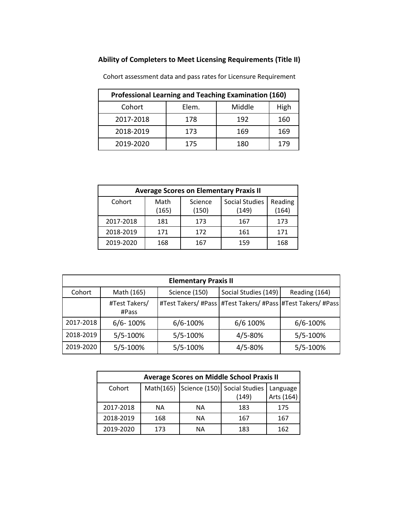## **Ability of Completers to Meet Licensing Requirements (Title II)**

| <b>Professional Learning and Teaching Examination (160)</b> |       |        |      |
|-------------------------------------------------------------|-------|--------|------|
| Cohort                                                      | Elem. | Middle | High |
| 2017-2018                                                   | 178   | 192    | 160  |
| 2018-2019                                                   | 173   | 169    | 169  |
| 2019-2020                                                   | 175   | 180    | 179  |

Cohort assessment data and pass rates for Licensure Requirement

| <b>Average Scores on Elementary Praxis II</b> |               |                  |                                |                  |
|-----------------------------------------------|---------------|------------------|--------------------------------|------------------|
| Cohort                                        | Math<br>(165) | Science<br>(150) | <b>Social Studies</b><br>(149) | Reading<br>(164) |
| 2017-2018                                     | 181           | 173              | 167                            | 173              |
| 2018-2019                                     | 171           | 172              | 161                            | 171              |
| 2019-2020                                     | 168           | 167              | 159                            | 168              |

| <b>Elementary Praxis II</b> |                        |               |                                                                 |               |
|-----------------------------|------------------------|---------------|-----------------------------------------------------------------|---------------|
| Cohort                      | Math (165)             | Science (150) | Social Studies (149)                                            | Reading (164) |
|                             | #Test Takers/<br>#Pass |               | #Test Takers/ #Pass   #Test Takers/ #Pass   #Test Takers/ #Pass |               |
| 2017-2018                   | $6/6 - 100\%$          | 6/6-100%      | 6/6 100%                                                        | $6/6 - 100%$  |
| 2018-2019                   | 5/5-100%               | 5/5-100%      | $4/5 - 80%$                                                     | 5/5-100%      |
| 2019-2020                   | 5/5-100%               | 5/5-100%      | 4/5-80%                                                         | 5/5-100%      |

| <b>Average Scores on Middle School Praxis II</b> |     |    |                                                   |              |
|--------------------------------------------------|-----|----|---------------------------------------------------|--------------|
| Cohort                                           |     |    | Math(165) Science (150) Social Studies   Language |              |
|                                                  |     |    | (149)                                             | Arts $(164)$ |
| 2017-2018                                        | ΝA  | ΝA | 183                                               | 175          |
| 2018-2019                                        | 168 | ΝA | 167                                               | 167          |
| 2019-2020                                        | 173 | ΝA | 183                                               | 162          |